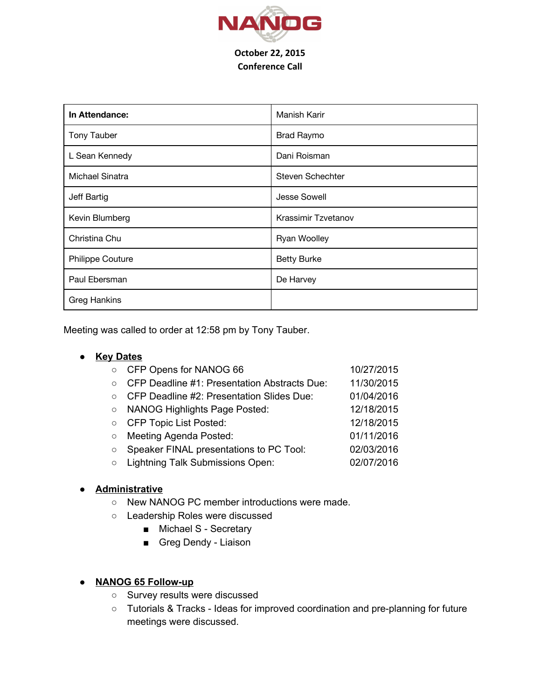

## Conference Call

| In Attendance:          | Manish Karir        |
|-------------------------|---------------------|
| <b>Tony Tauber</b>      | <b>Brad Raymo</b>   |
| L Sean Kennedy          | Dani Roisman        |
| Michael Sinatra         | Steven Schechter    |
| Jeff Bartig             | <b>Jesse Sowell</b> |
| Kevin Blumberg          | Krassimir Tzvetanov |
| Christina Chu           | <b>Ryan Woolley</b> |
| <b>Philippe Couture</b> | <b>Betty Burke</b>  |
| Paul Ebersman           | De Harvey           |
| <b>Greg Hankins</b>     |                     |

Meeting was called to order at 12:58 pm by Tony Tauber.

## **● Key Dates**

| $\circ$ | CFP Opens for NANOG 66                       | 10/27/2015 |
|---------|----------------------------------------------|------------|
| $\circ$ | CFP Deadline #1: Presentation Abstracts Due: | 11/30/2015 |
| $\circ$ | CFP Deadline #2: Presentation Slides Due:    | 01/04/2016 |
| $\circ$ | <b>NANOG Highlights Page Posted:</b>         | 12/18/2015 |
| $\circ$ | <b>CFP Topic List Posted:</b>                | 12/18/2015 |
| $\circ$ | Meeting Agenda Posted:                       | 01/11/2016 |
| $\circ$ | Speaker FINAL presentations to PC Tool:      | 02/03/2016 |
| $\circ$ | Lightning Talk Submissions Open:             | 02/07/2016 |
|         |                                              |            |

## **● Administrative**

- New NANOG PC member introductions were made.
- Leadership Roles were discussed
	- Michael S Secretary
	- Greg Dendy Liaison

## **● NANOG 65 Followup**

- Survey results were discussed
- o Tutorials & Tracks Ideas for improved coordination and pre-planning for future meetings were discussed.